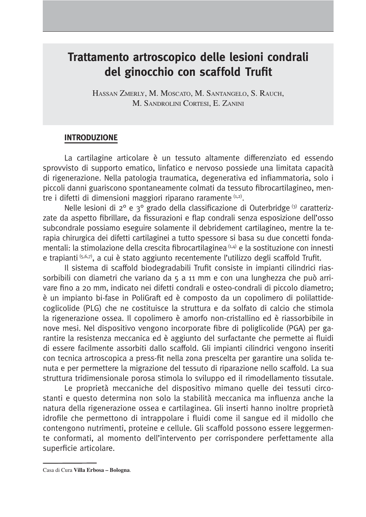# Trattamento artroscopico delle lesioni condrali del ginocchio con scaffold Trufit

HASSAN ZMERLY, M. MOSCATO, M. SANTANGELO, S. RAUCH. M. SANDROLINI CORTESI, E. ZANINI

#### **INTRODUZIONE**

La cartilagine articolare è un tessuto altamente differenziato ed essendo sprovvisto di supporto ematico, linfatico e nervoso possiede una limitata capacità di rigenerazione. Nella patologia traumatica, degenerativa ed infiammatoria, solo i piccoli danni guariscono spontaneamente colmati da tessuto fibrocartilagineo, mentre i difetti di dimensioni maggiori riparano raramente  $(x, 2)$ .

Nelle lesioni di 2º e 3º grado della classificazione di Outerbridge (3) caratterizzate da aspetto fibrillare, da fissurazioni e flap condrali senza esposizione dell'osso subcondrale possiamo eseguire solamente il debridement cartilagineo, mentre la terapia chirurgica dei difetti cartilaginei a tutto spessore si basa su due concetti fondamentali: la stimolazione della crescita fibrocartilaginea<sup>(1,4)</sup> e la sostituzione con innesti e trapianti 6,6,7), a cui è stato aggiunto recentemente l'utilizzo degli scaffold Trufit.

Il sistema di scaffold biodegradabili Trufit consiste in impianti cilindrici riassorbibili con diametri che variano da 5 a 11 mm e con una lunghezza che può arrivare fino a 20 mm, indicato nei difetti condrali e osteo-condrali di piccolo diametro; è un impianto bi-fase in PoliGraft ed è composto da un copolimero di polilattidecoglicolide (PLG) che ne costituisce la struttura e da solfato di calcio che stimola la rigenerazione ossea. Il copolimero è amorfo non-cristallino ed è riassorbibile in nove mesi. Nel dispositivo vengono incorporate fibre di poliglicolide (PGA) per garantire la resistenza meccanica ed è aggiunto del surfactante che permette ai fluidi di essere facilmente assorbiti dallo scaffold. Gli impianti cilindrici vengono inseriti con tecnica artroscopica a press-fit nella zona prescelta per garantire una solida tenuta e per permettere la migrazione del tessuto di riparazione nello scaffold. La sua struttura tridimensionale porosa stimola lo sviluppo ed il rimodellamento tissutale.

Le proprietà meccaniche del dispositivo mimano quelle dei tessuti circostanti e questo determina non solo la stabilità meccanica ma influenza anche la natura della rigenerazione ossea e cartilaginea. Gli inserti hanno inoltre proprietà idrofile che permettono di intrappolare i fluidi come il sangue ed il midollo che contengono nutrimenti, proteine e cellule. Gli scaffold possono essere leggermente conformati, al momento dell'intervento per corrispondere perfettamente alla superficie articolare.

Casa di Cura Villa Erbosa - Bologna.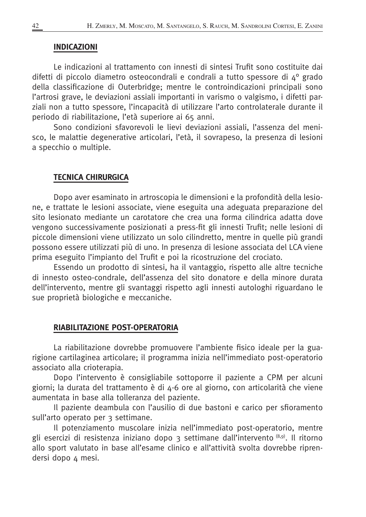#### **INDICAZIONI**

Le indicazioni al trattamento con innesti di sintesi Trufit sono costituite dai difetti di piccolo diametro osteocondrali e condrali a tutto spessore di 4º grado della classificazione di Outerbridge; mentre le controindicazioni principali sono l'artrosi grave, le deviazioni assiali importanti in varismo o valgismo, i difetti parziali non a tutto spessore, l'incapacità di utilizzare l'arto controlaterale durante il periodo di riabilitazione, l'età superiore ai 65 anni.

Sono condizioni sfavorevoli le lievi deviazioni assiali, l'assenza del menisco, le malattie degenerative articolari, l'età, il sovrapeso, la presenza di lesioni a specchio o multiple.

#### **TECNICA CHIRURGICA**

Dopo aver esaminato in artroscopia le dimensioni e la profondità della lesione, e trattate le lesioni associate, viene eseguita una adeguata preparazione del sito lesionato mediante un carotatore che crea una forma cilindrica adatta dove vengono successivamente posizionati a press-fit gli innesti Trufit; nelle lesioni di piccole dimensioni viene utilizzato un solo cilindretto, mentre in quelle più grandi possono essere utilizzati più di uno. In presenza di lesione associata del LCA viene prima eseguito l'impianto del Trufit e poi la ricostruzione del crociato.

Essendo un prodotto di sintesi, ha il vantaggio, rispetto alle altre tecniche di innesto osteo-condrale, dell'assenza del sito donatore e della minore durata dell'intervento, mentre gli svantaggi rispetto agli innesti autologhi riguardano le sue proprietà biologiche e meccaniche.

#### RIABILITAZIONE POST-OPERATORIA

La riabilitazione dovrebbe promuovere l'ambiente fisico ideale per la guarigione cartilaginea articolare; il programma inizia nell'immediato post-operatorio associato alla crioterapia.

Dopo l'intervento è consigliabile sottoporre il paziente a CPM per alcuni giorni; la durata del trattamento è di 4-6 ore al giorno, con articolarità che viene aumentata in base alla tolleranza del paziente.

Il paziente deambula con l'ausilio di due bastoni e carico per sfioramento sull'arto operato per 3 settimane.

Il potenziamento muscolare inizia nell'immediato post-operatorio, mentre gli esercizi di resistenza iniziano dopo 3 settimane dall'intervento (8,9). Il ritorno allo sport valutato in base all'esame clinico e all'attività svolta dovrebbe riprendersi dopo 4 mesi.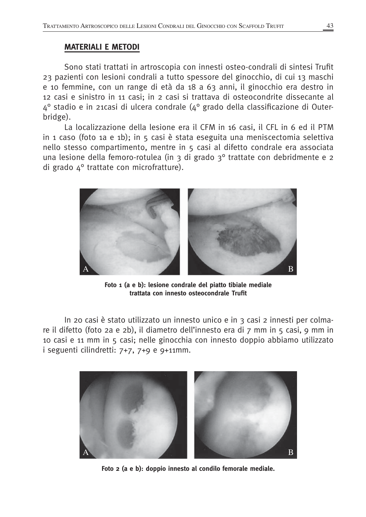## **MATERIALI E METODI**

Sono stati trattati in artroscopia con innesti osteo-condrali di sintesi Trufit 23 pazienti con lesioni condrali a tutto spessore del ginocchio, di cui 13 maschi e 10 femmine, con un range di età da 18 a 63 anni, il ginocchio era destro in 12 casi e sinistro in 11 casi; in 2 casi si trattava di osteocondrite dissecante al  $4^{\circ}$  stadio e in 21 casi di ulcera condrale ( $4^{\circ}$  grado della classificazione di Outerbridge).

La localizzazione della lesione era il CFM in 16 casi, il CFL in 6 ed il PTM in 1 caso (foto 1a e 1b); in 5 casi è stata eseguita una meniscectomia selettiva nello stesso compartimento, mentre in 5 casi al difetto condrale era associata una lesione della femoro-rotulea (in 3 di grado 3º trattate con debridmente e 2 di grado 4º trattate con microfratture).



Foto 1 (a e b): lesione condrale del piatto tibiale mediale trattata con innesto osteocondrale Trufit

In 20 casi è stato utilizzato un innesto unico e in 3 casi 2 innesti per colmare il difetto (foto 2a e 2b), il diametro dell'innesto era di 7 mm in 5 casi, 9 mm in 10 casi e 11 mm in 5 casi; nelle ginocchia con innesto doppio abbiamo utilizzato i seguenti cilindretti:  $7+7$ ,  $7+9$  e  $9+11$ mm.



Foto 2 (a e b): doppio innesto al condilo femorale mediale.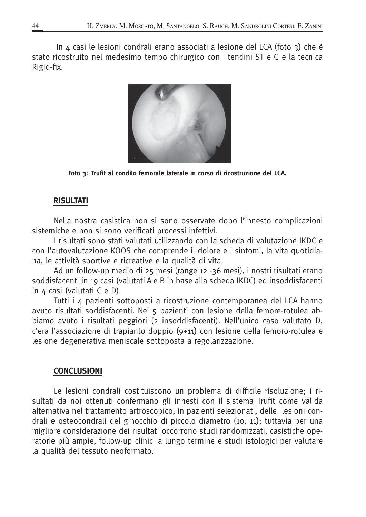In 4 casi le lesioni condrali erano associati a lesione del LCA (foto 3) che è stato ricostruito nel medesimo tempo chirurgico con i tendini ST e G e la tecnica Rigid-fix.



Foto 3: Trufit al condilo femorale laterale in corso di ricostruzione del LCA.

### **RISULTATI**

Nella nostra casistica non si sono osservate dopo l'innesto complicazioni sistemiche e non si sono verificati processi infettivi.

I risultati sono stati valutati utilizzando con la scheda di valutazione IKDC e con l'autovalutazione KOOS che comprende il dolore e i sintomi, la vita quotidiana, le attività sportive e ricreative e la qualità di vita.

Ad un follow-up medio di 25 mesi (range 12 -36 mesi), i nostri risultati erano soddisfacenti in 19 casi (valutati A e B in base alla scheda IKDC) ed insoddisfacenti in 4 casi (valutati C e D).

Tutti i 4 pazienti sottoposti a ricostruzione contemporanea del LCA hanno avuto risultati soddisfacenti. Nei 5 pazienti con lesione della femore-rotulea abbiamo avuto i risultati peggiori (2 insoddisfacenti). Nell'unico caso valutato D, c'era l'associazione di trapianto doppio (9+11) con lesione della femoro-rotulea e lesione degenerativa meniscale sottoposta a regolarizzazione.

## **CONCLUSIONI**

Le lesioni condrali costituiscono un problema di difficile risoluzione; i risultati da noi ottenuti confermano gli innesti con il sistema Trufit come valida alternativa nel trattamento artroscopico, in pazienti selezionati, delle lesioni condrali e osteocondrali del ginocchio di piccolo diametro (10, 11); tuttavia per una migliore considerazione dei risultati occorrono studi randomizzati, casistiche operatorie più ampie, follow-up clinici a lungo termine e studi istologici per valutare la qualità del tessuto neoformato.